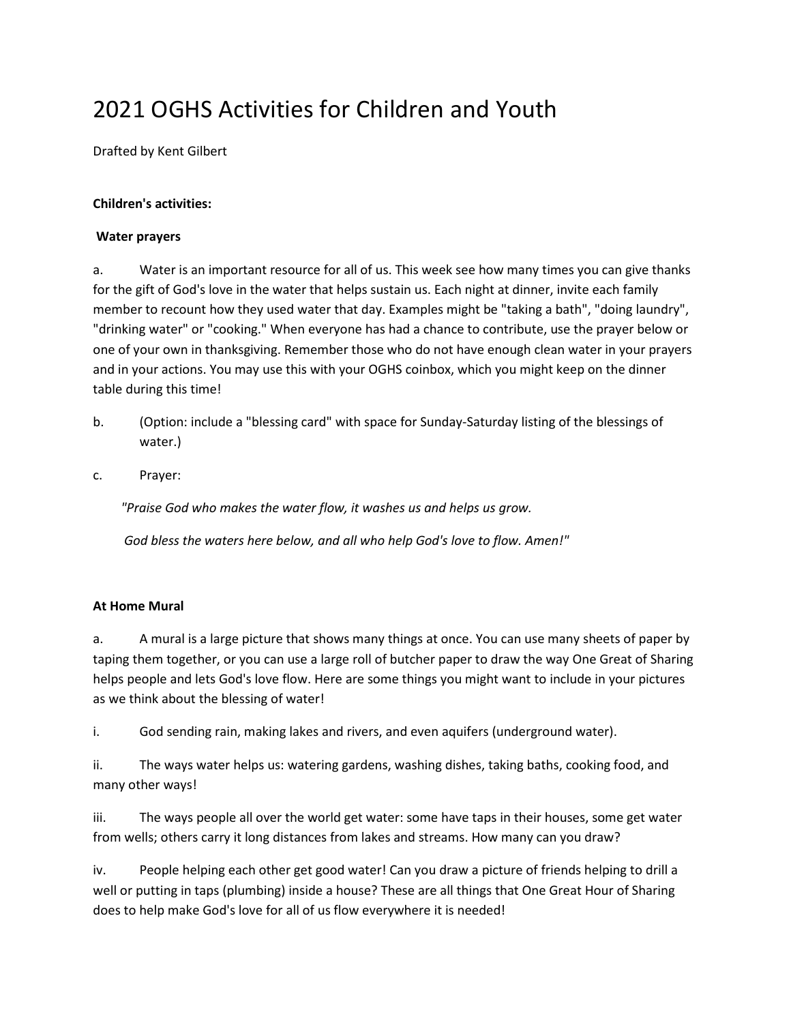# 2021 OGHS Activities for Children and Youth

Drafted by Kent Gilbert

### **Children's activities:**

#### **Water prayers**

a. Water is an important resource for all of us. This week see how many times you can give thanks for the gift of God's love in the water that helps sustain us. Each night at dinner, invite each family member to recount how they used water that day. Examples might be "taking a bath", "doing laundry", "drinking water" or "cooking." When everyone has had a chance to contribute, use the prayer below or one of your own in thanksgiving. Remember those who do not have enough clean water in your prayers and in your actions. You may use this with your OGHS coinbox, which you might keep on the dinner table during this time!

- b. (Option: include a "blessing card" with space for Sunday-Saturday listing of the blessings of water.)
- c. Prayer:

*"Praise God who makes the water flow, it washes us and helps us grow.*

*God bless the waters here below, and all who help God's love to flow. Amen!"*

#### **At Home Mural**

a. A mural is a large picture that shows many things at once. You can use many sheets of paper by taping them together, or you can use a large roll of butcher paper to draw the way One Great of Sharing helps people and lets God's love flow. Here are some things you might want to include in your pictures as we think about the blessing of water!

i. God sending rain, making lakes and rivers, and even aquifers (underground water).

ii. The ways water helps us: watering gardens, washing dishes, taking baths, cooking food, and many other ways!

iii. The ways people all over the world get water: some have taps in their houses, some get water from wells; others carry it long distances from lakes and streams. How many can you draw?

iv. People helping each other get good water! Can you draw a picture of friends helping to drill a well or putting in taps (plumbing) inside a house? These are all things that One Great Hour of Sharing does to help make God's love for all of us flow everywhere it is needed!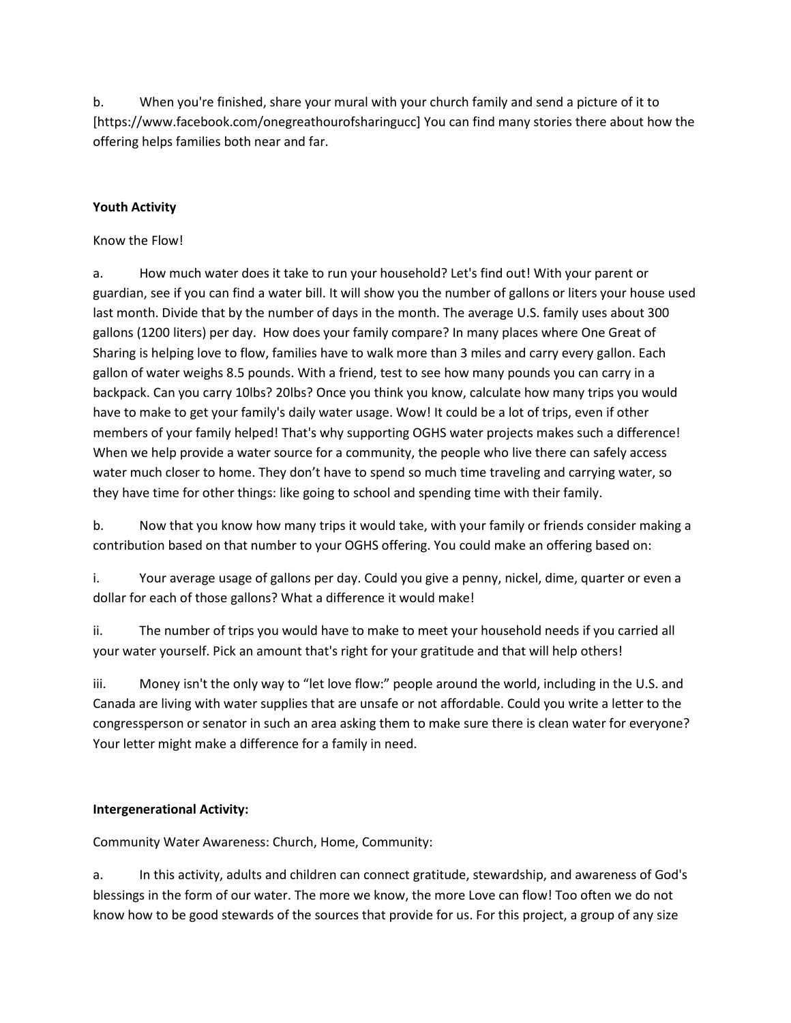b. When you're finished, share your mural with your church family and send a picture of it to [https://www.facebook.com/onegreathourofsharingucc] You can find many stories there about how the offering helps families both near and far.

# **Youth Activity**

## Know the Flow!

a. How much water does it take to run your household? Let's find out! With your parent or guardian, see if you can find a water bill. It will show you the number of gallons or liters your house used last month. Divide that by the number of days in the month. The average U.S. family uses about 300 gallons (1200 liters) per day. How does your family compare? In many places where One Great of Sharing is helping love to flow, families have to walk more than 3 miles and carry every gallon. Each gallon of water weighs 8.5 pounds. With a friend, test to see how many pounds you can carry in a backpack. Can you carry 10lbs? 20lbs? Once you think you know, calculate how many trips you would have to make to get your family's daily water usage. Wow! It could be a lot of trips, even if other members of your family helped! That's why supporting OGHS water projects makes such a difference! When we help provide a water source for a community, the people who live there can safely access water much closer to home. They don't have to spend so much time traveling and carrying water, so they have time for other things: like going to school and spending time with their family.

b. Now that you know how many trips it would take, with your family or friends consider making a contribution based on that number to your OGHS offering. You could make an offering based on:

i. Your average usage of gallons per day. Could you give a penny, nickel, dime, quarter or even a dollar for each of those gallons? What a difference it would make!

ii. The number of trips you would have to make to meet your household needs if you carried all your water yourself. Pick an amount that's right for your gratitude and that will help others!

iii. Money isn't the only way to "let love flow:" people around the world, including in the U.S. and Canada are living with water supplies that are unsafe or not affordable. Could you write a letter to the congressperson or senator in such an area asking them to make sure there is clean water for everyone? Your letter might make a difference for a family in need.

# **Intergenerational Activity:**

Community Water Awareness: Church, Home, Community:

a. In this activity, adults and children can connect gratitude, stewardship, and awareness of God's blessings in the form of our water. The more we know, the more Love can flow! Too often we do not know how to be good stewards of the sources that provide for us. For this project, a group of any size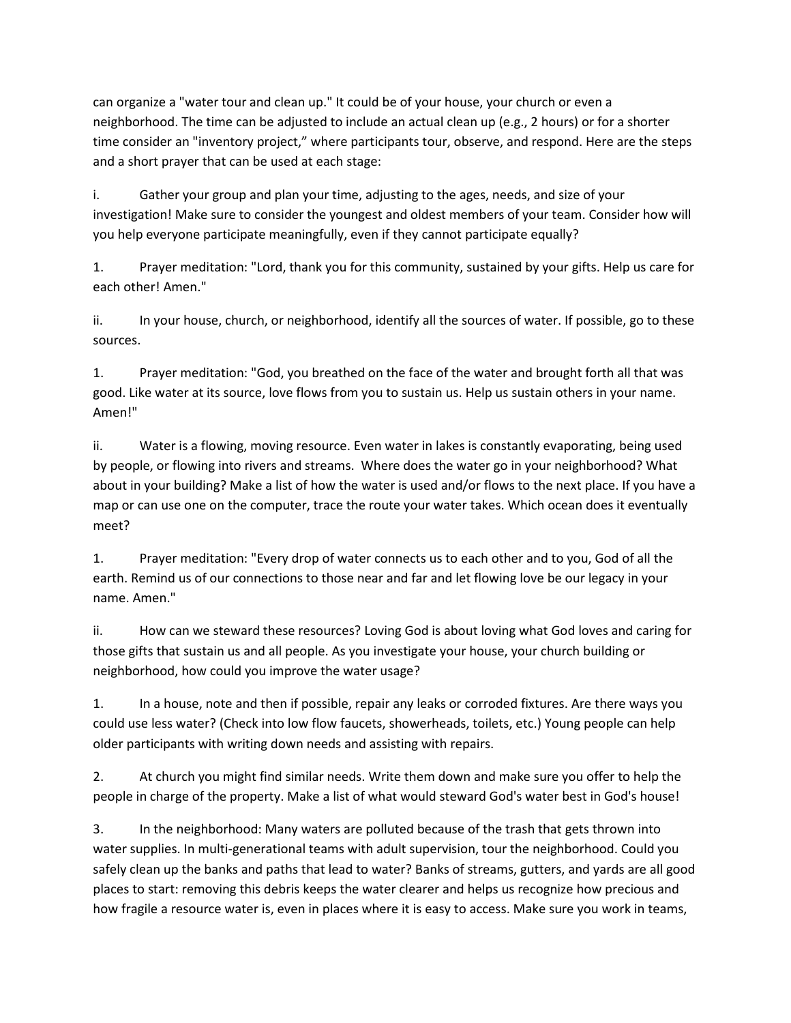can organize a "water tour and clean up." It could be of your house, your church or even a neighborhood. The time can be adjusted to include an actual clean up (e.g., 2 hours) or for a shorter time consider an "inventory project," where participants tour, observe, and respond. Here are the steps and a short prayer that can be used at each stage:

i. Gather your group and plan your time, adjusting to the ages, needs, and size of your investigation! Make sure to consider the youngest and oldest members of your team. Consider how will you help everyone participate meaningfully, even if they cannot participate equally?

1. Prayer meditation: "Lord, thank you for this community, sustained by your gifts. Help us care for each other! Amen."

ii. In your house, church, or neighborhood, identify all the sources of water. If possible, go to these sources.

1. Prayer meditation: "God, you breathed on the face of the water and brought forth all that was good. Like water at its source, love flows from you to sustain us. Help us sustain others in your name. Amen!"

ii. Water is a flowing, moving resource. Even water in lakes is constantly evaporating, being used by people, or flowing into rivers and streams. Where does the water go in your neighborhood? What about in your building? Make a list of how the water is used and/or flows to the next place. If you have a map or can use one on the computer, trace the route your water takes. Which ocean does it eventually meet?

1. Prayer meditation: "Every drop of water connects us to each other and to you, God of all the earth. Remind us of our connections to those near and far and let flowing love be our legacy in your name. Amen."

ii. How can we steward these resources? Loving God is about loving what God loves and caring for those gifts that sustain us and all people. As you investigate your house, your church building or neighborhood, how could you improve the water usage?

1. In a house, note and then if possible, repair any leaks or corroded fixtures. Are there ways you could use less water? (Check into low flow faucets, showerheads, toilets, etc.) Young people can help older participants with writing down needs and assisting with repairs.

2. At church you might find similar needs. Write them down and make sure you offer to help the people in charge of the property. Make a list of what would steward God's water best in God's house!

3. In the neighborhood: Many waters are polluted because of the trash that gets thrown into water supplies. In multi-generational teams with adult supervision, tour the neighborhood. Could you safely clean up the banks and paths that lead to water? Banks of streams, gutters, and yards are all good places to start: removing this debris keeps the water clearer and helps us recognize how precious and how fragile a resource water is, even in places where it is easy to access. Make sure you work in teams,